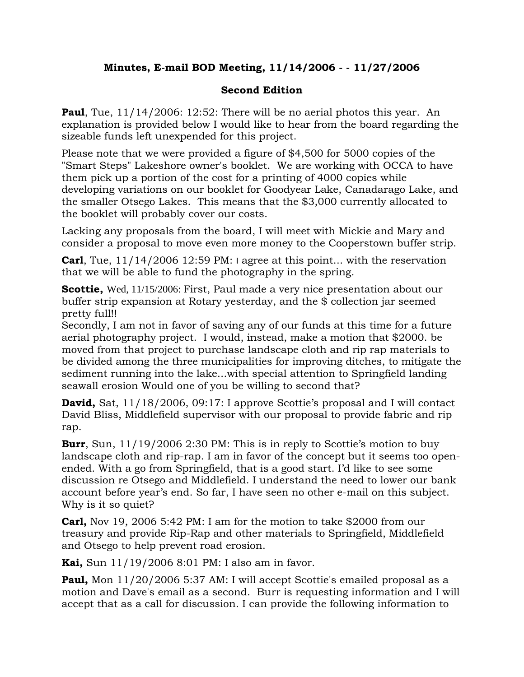## **Minutes, E-mail BOD Meeting, 11/14/2006 - - 11/27/2006**

## **Second Edition**

**Paul**, Tue,  $11/14/2006$ :  $12:52$ : There will be no aerial photos this year. An explanation is provided below I would like to hear from the board regarding the sizeable funds left unexpended for this project.

Please note that we were provided a figure of \$4,500 for 5000 copies of the "Smart Steps" Lakeshore owner's booklet. We are working with OCCA to have them pick up a portion of the cost for a printing of 4000 copies while developing variations on our booklet for Goodyear Lake, Canadarago Lake, and the smaller Otsego Lakes. This means that the \$3,000 currently allocated to the booklet will probably cover our costs.

Lacking any proposals from the board, I will meet with Mickie and Mary and consider a proposal to move even more money to the Cooperstown buffer strip.

**Carl**, Tue, 11/14/2006 12:59 PM: I agree at this point... with the reservation that we will be able to fund the photography in the spring.

**Scottie,** Wed, 11/15/2006: First, Paul made a very nice presentation about our buffer strip expansion at Rotary yesterday, and the \$ collection jar seemed pretty full!!

Secondly, I am not in favor of saving any of our funds at this time for a future aerial photography project. I would, instead, make a motion that \$2000. be moved from that project to purchase landscape cloth and rip rap materials to be divided among the three municipalities for improving ditches, to mitigate the sediment running into the lake...with special attention to Springfield landing seawall erosion Would one of you be willing to second that?

**David,** Sat, 11/18/2006, 09:17: I approve Scottie's proposal and I will contact David Bliss, Middlefield supervisor with our proposal to provide fabric and rip rap.

**Burr**, Sun, 11/19/2006 2:30 PM: This is in reply to Scottie's motion to buy landscape cloth and rip-rap. I am in favor of the concept but it seems too openended. With a go from Springfield, that is a good start. I'd like to see some discussion re Otsego and Middlefield. I understand the need to lower our bank account before year's end. So far, I have seen no other e-mail on this subject. Why is it so quiet?

**Carl,** Nov 19, 2006 5:42 PM: I am for the motion to take \$2000 from our treasury and provide Rip-Rap and other materials to Springfield, Middlefield and Otsego to help prevent road erosion.

**Kai,** Sun 11/19/2006 8:01 PM: I also am in favor.

**Paul,** Mon 11/20/2006 5:37 AM: I will accept Scottie's emailed proposal as a motion and Dave's email as a second. Burr is requesting information and I will accept that as a call for discussion. I can provide the following information to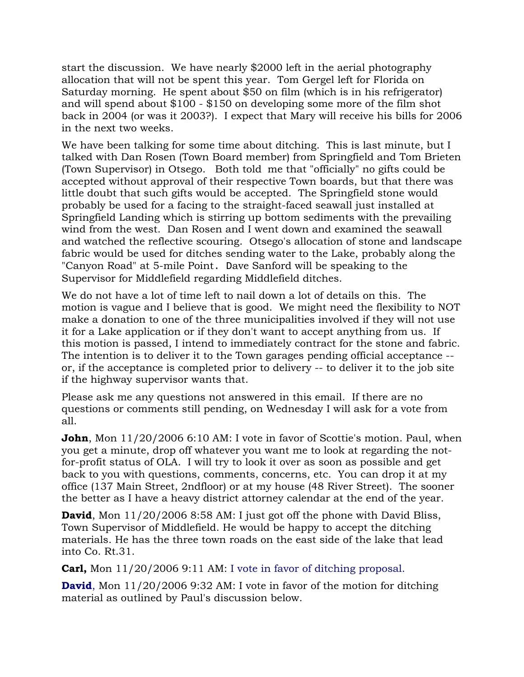start the discussion. We have nearly \$2000 left in the aerial photography allocation that will not be spent this year. Tom Gergel left for Florida on Saturday morning. He spent about \$50 on film (which is in his refrigerator) and will spend about \$100 - \$150 on developing some more of the film shot back in 2004 (or was it 2003?). I expect that Mary will receive his bills for 2006 in the next two weeks.

We have been talking for some time about ditching. This is last minute, but I talked with Dan Rosen (Town Board member) from Springfield and Tom Brieten (Town Supervisor) in Otsego. Both told me that "officially" no gifts could be accepted without approval of their respective Town boards, but that there was little doubt that such gifts would be accepted. The Springfield stone would probably be used for a facing to the straight-faced seawall just installed at Springfield Landing which is stirring up bottom sediments with the prevailing wind from the west. Dan Rosen and I went down and examined the seawall and watched the reflective scouring. Otsego's allocation of stone and landscape fabric would be used for ditches sending water to the Lake, probably along the "Canyon Road" at 5-mile Point. Dave Sanford will be speaking to the Supervisor for Middlefield regarding Middlefield ditches.

We do not have a lot of time left to nail down a lot of details on this. The motion is vague and I believe that is good. We might need the flexibility to NOT make a donation to one of the three municipalities involved if they will not use it for a Lake application or if they don't want to accept anything from us. If this motion is passed, I intend to immediately contract for the stone and fabric. The intention is to deliver it to the Town garages pending official acceptance - or, if the acceptance is completed prior to delivery -- to deliver it to the job site if the highway supervisor wants that.

Please ask me any questions not answered in this email. If there are no questions or comments still pending, on Wednesday I will ask for a vote from all.

**John**, Mon 11/20/2006 6:10 AM: I vote in favor of Scottie's motion. Paul, when you get a minute, drop off whatever you want me to look at regarding the notfor-profit status of OLA. I will try to look it over as soon as possible and get back to you with questions, comments, concerns, etc. You can drop it at my office (137 Main Street, 2ndfloor) or at my house (48 River Street). The sooner the better as I have a heavy district attorney calendar at the end of the year.

**David**, Mon 11/20/2006 8:58 AM: I just got off the phone with David Bliss, Town Supervisor of Middlefield. He would be happy to accept the ditching materials. He has the three town roads on the east side of the lake that lead into Co. Rt.31.

**Carl,** Mon 11/20/2006 9:11 AM: I vote in favor of ditching proposal.

**David**, Mon  $11/20/2006$  9:32 AM: I vote in favor of the motion for ditching material as outlined by Paul's discussion below.